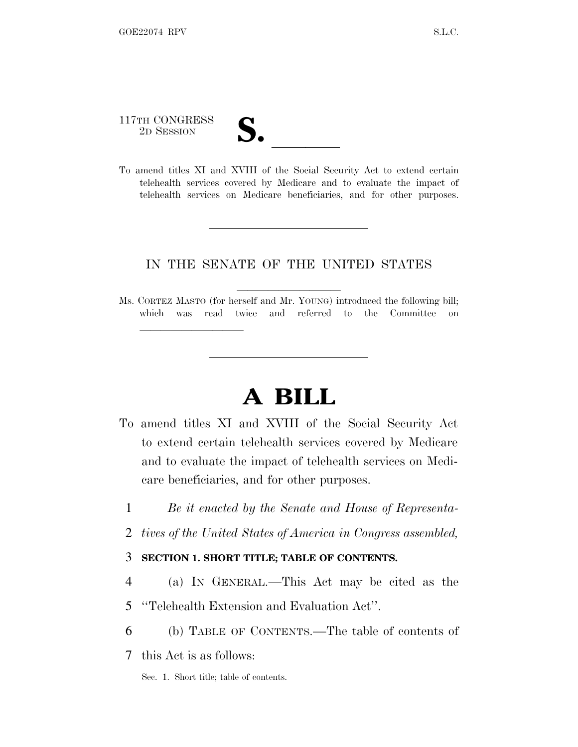# 117TH CONGRESS 117TH CONGRESS<br>
2D SESSION<br>
To amend titles XI and XVIII of the Social Security Act to extend certain

lland and a state of the state of the state of the state of the state of the state of the state of the state o

telehealth services covered by Medicare and to evaluate the impact of telehealth services on Medicare beneficiaries, and for other purposes.

#### IN THE SENATE OF THE UNITED STATES

Ms. CORTEZ MASTO (for herself and Mr. YOUNG) introduced the following bill; which was read twice and referred to the Committee on

## **A BILL**

- To amend titles XI and XVIII of the Social Security Act to extend certain telehealth services covered by Medicare and to evaluate the impact of telehealth services on Medicare beneficiaries, and for other purposes.
	- 1 *Be it enacted by the Senate and House of Representa-*
	- 2 *tives of the United States of America in Congress assembled,*

#### 3 **SECTION 1. SHORT TITLE; TABLE OF CONTENTS.**

- 4 (a) I<sup>N</sup> GENERAL.—This Act may be cited as the
- 5 ''Telehealth Extension and Evaluation Act''.
- 6 (b) TABLE OF CONTENTS.—The table of contents of
- 7 this Act is as follows:
	- Sec. 1. Short title; table of contents.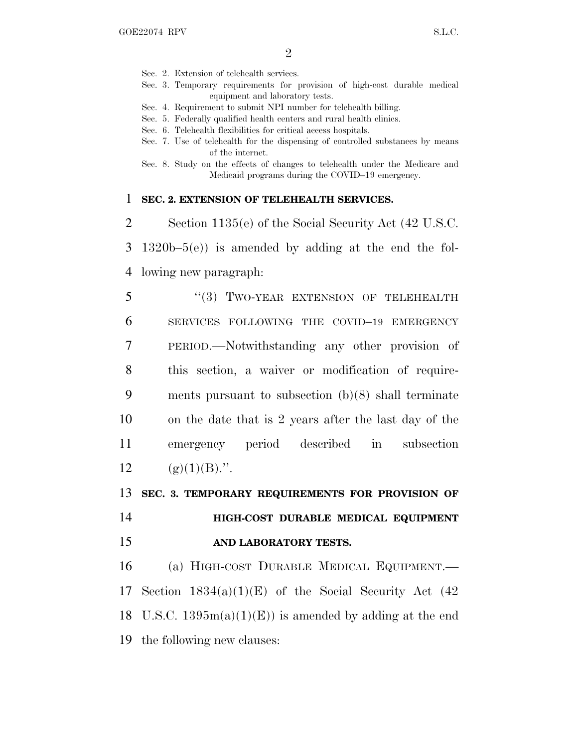- Sec. 2. Extension of telehealth services.
- Sec. 3. Temporary requirements for provision of high-cost durable medical equipment and laboratory tests.
- Sec. 4. Requirement to submit NPI number for telehealth billing.
- Sec. 5. Federally qualified health centers and rural health clinics.
- Sec. 6. Telehealth flexibilities for critical access hospitals.
- Sec. 7. Use of telehealth for the dispensing of controlled substances by means of the internet.
- Sec. 8. Study on the effects of changes to telehealth under the Medicare and Medicaid programs during the COVID–19 emergency.

#### 1 **SEC. 2. EXTENSION OF TELEHEALTH SERVICES.**

2 Section 1135(e) of the Social Security Act (42 U.S.C. 3 1320b–5(e)) is amended by adding at the end the fol-4 lowing new paragraph:

5 "(3) TWO-YEAR EXTENSION OF TELEHEALTH SERVICES FOLLOWING THE COVID–19 EMERGENCY PERIOD.—Notwithstanding any other provision of this section, a waiver or modification of require- ments pursuant to subsection (b)(8) shall terminate on the date that is 2 years after the last day of the emergency period described in subsection  $(g)(1)(B)$ .".

13 **SEC. 3. TEMPORARY REQUIREMENTS FOR PROVISION OF**

14 **HIGH-COST DURABLE MEDICAL EQUIPMENT** 15 **AND LABORATORY TESTS.**

16 (a) HIGH-COST DURABLE MEDICAL EQUIPMENT.— 17 Section  $1834(a)(1)(E)$  of the Social Security Act  $(42)$ 18 U.S.C.  $1395m(a)(1)(E)$  is amended by adding at the end 19 the following new clauses: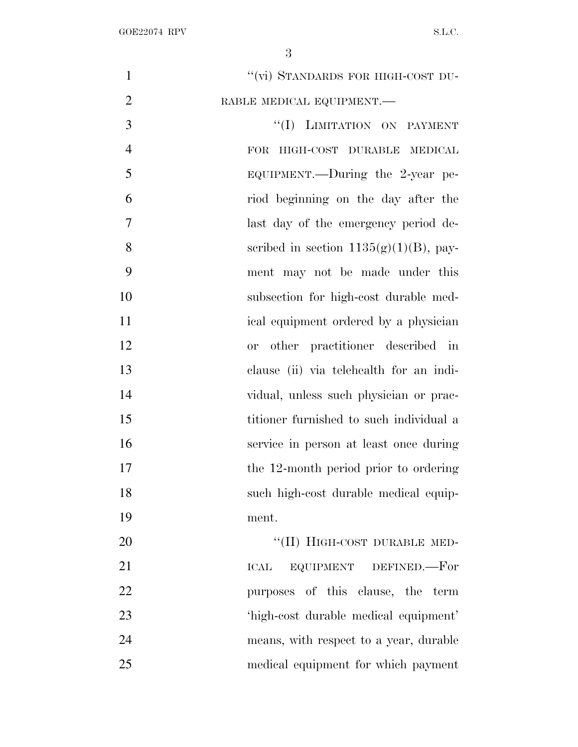| $\mathbf{1}$   | "(vi) STANDARDS FOR HIGH-COST DU-         |
|----------------|-------------------------------------------|
| $\overline{2}$ | RABLE MEDICAL EQUIPMENT.-                 |
| 3              | "(I) LIMITATION ON PAYMENT                |
| $\overline{4}$ | HIGH-COST DURABLE MEDICAL<br><b>FOR</b>   |
| 5              | EQUIPMENT.—During the 2-year pe-          |
| 6              | riod beginning on the day after the       |
| 7              | last day of the emergency period de-      |
| 8              | scribed in section $1135(g)(1)(B)$ , pay- |
| 9              | ment may not be made under this           |
| 10             | subsection for high-cost durable med-     |
| 11             | ical equipment ordered by a physician     |
| 12             | other practitioner described in<br>or     |
| 13             | clause (ii) via telehealth for an indi-   |
| 14             | vidual, unless such physician or prac-    |
| 15             | titioner furnished to such individual a   |
| 16             | service in person at least once during    |
| 17             | the 12-month period prior to ordering     |
| 18             | such high-cost durable medical equip-     |
| 19             | ment.                                     |
| 20             | "(II) HIGH-COST DURABLE MED-              |
| 21             | EQUIPMENT DEFINED.—For<br><b>ICAL</b>     |
| 22             | purposes of this clause, the term         |
| 23             | 'high-cost durable medical equipment'     |
| 24             | means, with respect to a year, durable    |
| 25             | medical equipment for which payment       |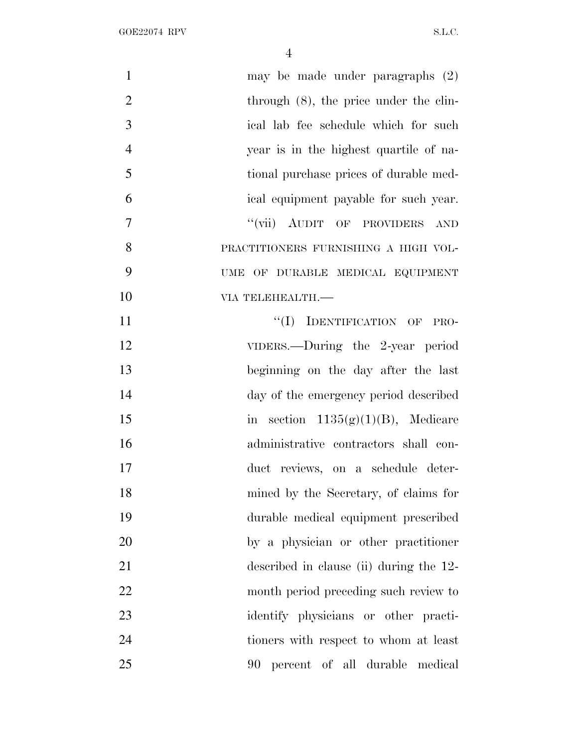| $\mathbf{1}$   | may be made under paragraphs $(2)$        |
|----------------|-------------------------------------------|
| $\overline{2}$ | through $(8)$ , the price under the clin- |
| 3              | ical lab fee schedule which for such      |
| $\overline{4}$ | year is in the highest quartile of na-    |
| 5              | tional purchase prices of durable med-    |
| 6              | ical equipment payable for such year.     |
| $\overline{7}$ | "(vii) AUDIT OF PROVIDERS<br>AND          |
| 8              | PRACTITIONERS FURNISHING A HIGH VOL-      |
| 9              | UME OF DURABLE MEDICAL EQUIPMENT          |
| 10             | VIA TELEHEALTH.-                          |
| 11             | "(I) IDENTIFICATION OF PRO-               |
| 12             | VIDERS.—During the 2-year period          |
| 13             | beginning on the day after the last       |
| 14             | day of the emergency period described     |
| 15             | in section $1135(g)(1)(B)$ , Medicare     |
| 16             | administrative contractors shall con-     |
| 17             | duct reviews, on a schedule deter-        |
| 18             | mined by the Secretary, of claims for     |
| 19             | durable medical equipment prescribed      |
| 20             | by a physician or other practitioner      |
| 21             | described in clause (ii) during the 12-   |
| 22             | month period preceding such review to     |
| 23             | identify physicians or other practi-      |
| 24             | tioners with respect to whom at least     |
| 25             | 90 percent of all durable medical         |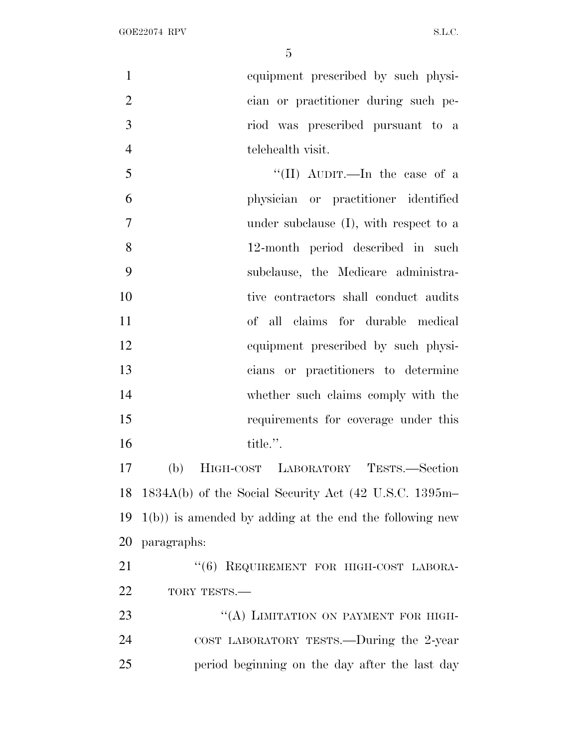equipment prescribed by such physi- cian or practitioner during such pe- riod was prescribed pursuant to a telehealth visit.

5 ''(II) AUDIT.—In the case of a physician or practitioner identified under subclause (I), with respect to a 12-month period described in such subclause, the Medicare administra- tive contractors shall conduct audits of all claims for durable medical equipment prescribed by such physi- cians or practitioners to determine whether such claims comply with the requirements for coverage under this 16 title.".

 (b) HIGH-COST LABORATORY TESTS.—Section 1834A(b) of the Social Security Act (42 U.S.C. 1395m– 1(b)) is amended by adding at the end the following new paragraphs:

21 "(6) REQUIREMENT FOR HIGH-COST LABORA-22 TORY TESTS.—

23 "(A) LIMITATION ON PAYMENT FOR HIGH- COST LABORATORY TESTS.—During the 2-year period beginning on the day after the last day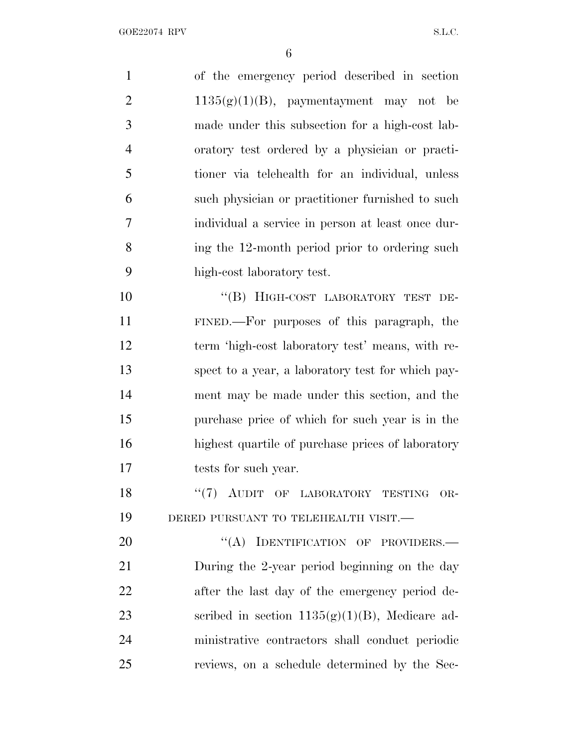of the emergency period described in section 2 1135 $(g)(1)(B)$ , paymentayment may not be made under this subsection for a high-cost lab- oratory test ordered by a physician or practi- tioner via telehealth for an individual, unless such physician or practitioner furnished to such individual a service in person at least once dur- ing the 12-month period prior to ordering such high-cost laboratory test. 10 "(B) HIGH-COST LABORATORY TEST DE- FINED.—For purposes of this paragraph, the term 'high-cost laboratory test' means, with re- spect to a year, a laboratory test for which pay- ment may be made under this section, and the purchase price of which for such year is in the highest quartile of purchase prices of laboratory tests for such year. 18 "(7) AUDIT OF LABORATORY TESTING OR- DERED PURSUANT TO TELEHEALTH VISIT.— 20 "(A) IDENTIFICATION OF PROVIDERS.— During the 2-year period beginning on the day

 after the last day of the emergency period de-23 scribed in section  $1135(g)(1)(B)$ , Medicare ad- ministrative contractors shall conduct periodic reviews, on a schedule determined by the Sec-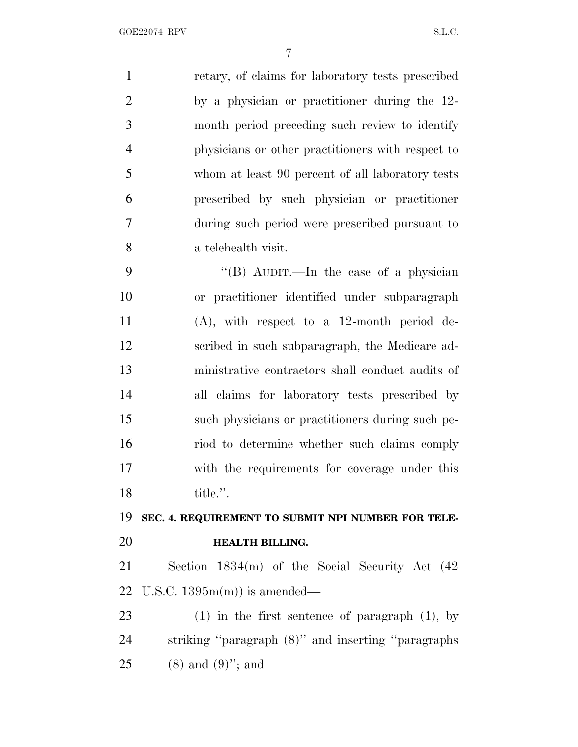retary, of claims for laboratory tests prescribed by a physician or practitioner during the 12- month period preceding such review to identify physicians or other practitioners with respect to whom at least 90 percent of all laboratory tests prescribed by such physician or practitioner during such period were prescribed pursuant to a telehealth visit. ''(B) AUDIT.—In the case of a physician or practitioner identified under subparagraph (A), with respect to a 12-month period de- scribed in such subparagraph, the Medicare ad- ministrative contractors shall conduct audits of all claims for laboratory tests prescribed by such physicians or practitioners during such pe- riod to determine whether such claims comply with the requirements for coverage under this title.''. **SEC. 4. REQUIREMENT TO SUBMIT NPI NUMBER FOR TELE- HEALTH BILLING.** Section 1834(m) of the Social Security Act (42 U.S.C. 1395m(m)) is amended— (1) in the first sentence of paragraph (1), by striking ''paragraph (8)'' and inserting ''paragraphs

25 (8) and  $(9)$ "; and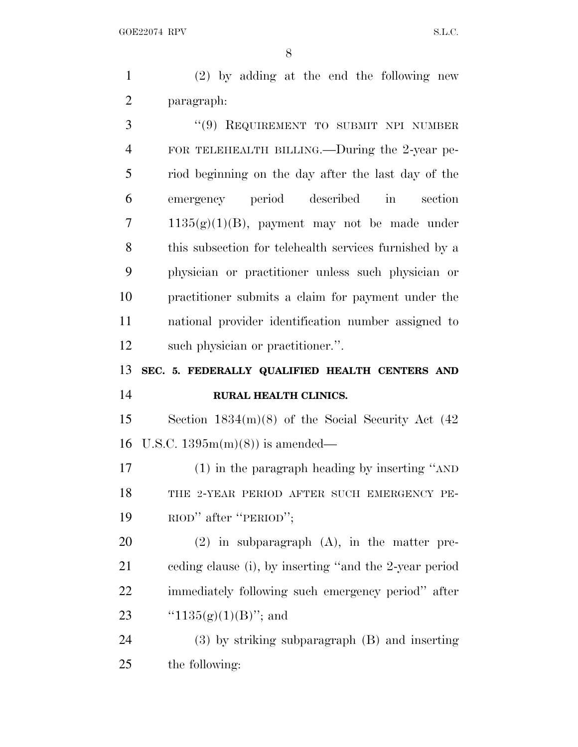(2) by adding at the end the following new paragraph:

 ''(9) REQUIREMENT TO SUBMIT NPI NUMBER FOR TELEHEALTH BILLING.—During the 2-year pe- riod beginning on the day after the last day of the emergency period described in section 7 1135 $(g)(1)(B)$ , payment may not be made under this subsection for telehealth services furnished by a physician or practitioner unless such physician or practitioner submits a claim for payment under the national provider identification number assigned to such physician or practitioner.''.

### **SEC. 5. FEDERALLY QUALIFIED HEALTH CENTERS AND RURAL HEALTH CLINICS.**

 Section 1834(m)(8) of the Social Security Act (42 U.S.C. 1395m(m)(8)) is amended—

 (1) in the paragraph heading by inserting ''AND 18 THE 2-YEAR PERIOD AFTER SUCH EMERGENCY PE-RIOD'' after ''PERIOD'';

 (2) in subparagraph (A), in the matter pre- ceding clause (i), by inserting ''and the 2-year period immediately following such emergency period'' after  $\text{``}1135(g)(1)(B)$ "; and

 (3) by striking subparagraph (B) and inserting the following: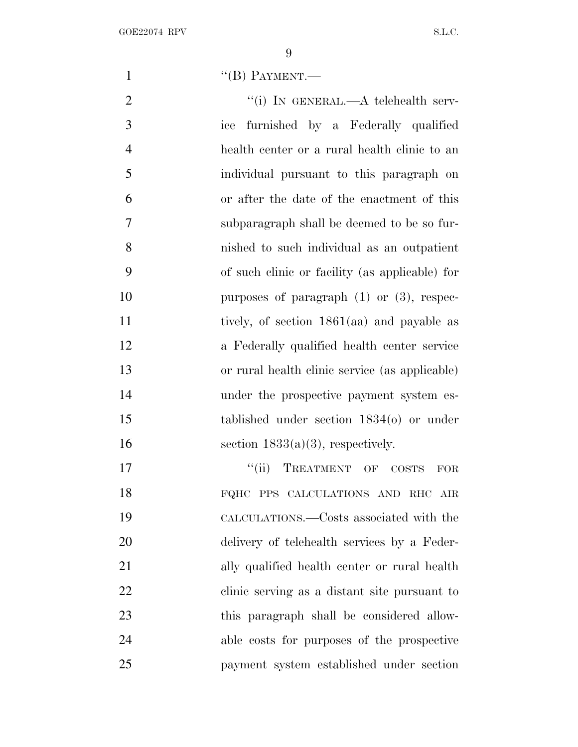1  $((B)$  PAYMENT.

2 "(i) In GENERAL.—A telehealth serv- ice furnished by a Federally qualified health center or a rural health clinic to an individual pursuant to this paragraph on or after the date of the enactment of this subparagraph shall be deemed to be so fur- nished to such individual as an outpatient of such clinic or facility (as applicable) for 10 purposes of paragraph (1) or (3), respec- tively, of section 1861(aa) and payable as a Federally qualified health center service or rural health clinic service (as applicable) under the prospective payment system es- tablished under section 1834(o) or under 16 section  $1833(a)(3)$ , respectively. ''(ii) TREATMENT OF COSTS FOR

 FQHC PPS CALCULATIONS AND RHC AIR CALCULATIONS.—Costs associated with the delivery of telehealth services by a Feder- ally qualified health center or rural health clinic serving as a distant site pursuant to this paragraph shall be considered allow- able costs for purposes of the prospective payment system established under section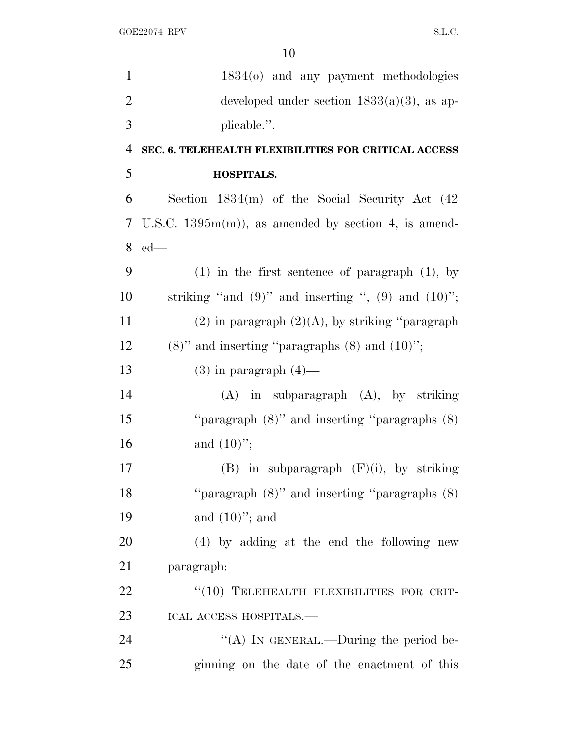| $\mathbf{1}$   | 1834(o) and any payment methodologies                      |
|----------------|------------------------------------------------------------|
| $\overline{2}$ | developed under section $1833(a)(3)$ , as ap-              |
| 3              | plicable.".                                                |
| $\overline{4}$ | SEC. 6. TELEHEALTH FLEXIBILITIES FOR CRITICAL ACCESS       |
| 5              | <b>HOSPITALS.</b>                                          |
| 6              | Section $1834(m)$ of the Social Security Act $(42)$        |
| 7              | U.S.C. $1395m(m)$ , as amended by section 4, is amend-     |
| 8              | $ed$ —                                                     |
| 9              | $(1)$ in the first sentence of paragraph $(1)$ , by        |
| 10             | striking "and $(9)$ " and inserting ", $(9)$ and $(10)$ "; |
| 11             | $(2)$ in paragraph $(2)(A)$ , by striking "paragraph"      |
| 12             | $(8)$ " and inserting "paragraphs $(8)$ and $(10)$ ";      |
| 13             | $(3)$ in paragraph $(4)$ —                                 |
| 14             | $(A)$ in subparagraph $(A)$ , by striking                  |
| 15             | "paragraph $(8)$ " and inserting "paragraphs $(8)$ "       |
| 16             | and $(10)$ ";                                              |
| 17             | $(B)$ in subparagraph $(F)(i)$ , by striking               |
| 18             | "paragraph $(8)$ " and inserting "paragraphs $(8)$         |
| 19             | and $(10)$ "; and                                          |
| 20             | (4) by adding at the end the following new                 |
| 21             | paragraph:                                                 |
| 22             | "(10) TELEHEALTH FLEXIBILITIES FOR CRIT-                   |
| 23             | ICAL ACCESS HOSPITALS.—                                    |
| 24             | "(A) IN GENERAL.—During the period be-                     |
| 25             | ginning on the date of the enactment of this               |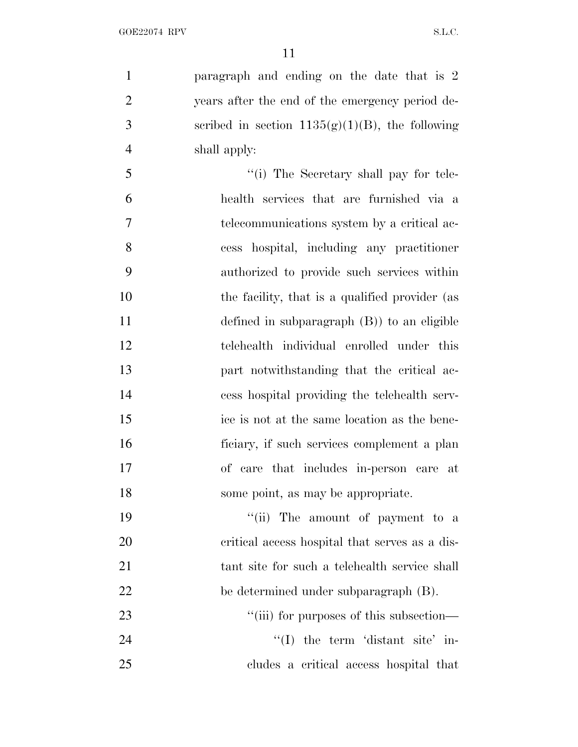paragraph and ending on the date that is 2 years after the end of the emergency period de-3 seribed in section  $1135(g)(1)(B)$ , the following shall apply:

 $\frac{1}{10}$  The Secretary shall pay for tele- health services that are furnished via a telecommunications system by a critical ac- cess hospital, including any practitioner authorized to provide such services within 10 the facility, that is a qualified provider (as defined in subparagraph (B)) to an eligible telehealth individual enrolled under this part notwithstanding that the critical ac- cess hospital providing the telehealth serv- ice is not at the same location as the bene- ficiary, if such services complement a plan of care that includes in-person care at some point, as may be appropriate.

19 ''(ii) The amount of payment to a critical access hospital that serves as a dis- tant site for such a telehealth service shall be determined under subparagraph (B).  $\frac{1}{1}$  (iii) for purposes of this subsection—

24 ''(I) the term 'distant site' in-cludes a critical access hospital that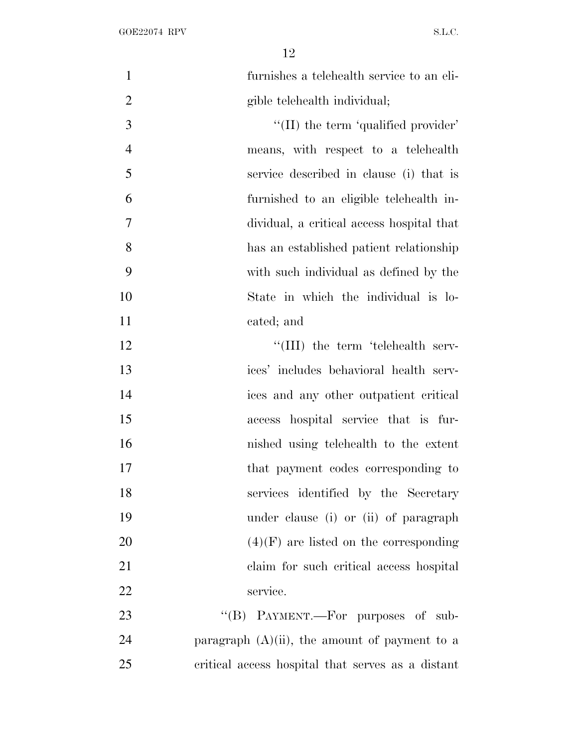| $\mathbf{1}$   | furnishes a telehealth service to an eli-         |
|----------------|---------------------------------------------------|
| $\overline{2}$ | gible telehealth individual;                      |
| 3              | $\lq$ (II) the term 'qualified provider'          |
| $\overline{4}$ | means, with respect to a telehealth               |
| 5              | service described in clause (i) that is           |
| 6              | furnished to an eligible telehealth in-           |
| $\overline{7}$ | dividual, a critical access hospital that         |
| 8              | has an established patient relationship           |
| 9              | with such individual as defined by the            |
| 10             | State in which the individual is lo-              |
| 11             | cated; and                                        |
| 12             | "(III) the term 'telehealth serv-                 |
| 13             | ices' includes behavioral health serv-            |
| 14             | ices and any other outpatient critical            |
| 15             | access hospital service that is fur-              |
| 16             | nished using telehealth to the extent             |
| 17             | that payment codes corresponding to               |
| 18             | services identified by the Secretary              |
| 19             | under clause (i) or (ii) of paragraph             |
| 20             | $(4)(F)$ are listed on the corresponding          |
| 21             | claim for such critical access hospital           |
| 22             | service.                                          |
| 23             | "(B) PAYMENT.—For purposes of sub-                |
| 24             | paragraph $(A)(ii)$ , the amount of payment to a  |
| 25             | critical access hospital that serves as a distant |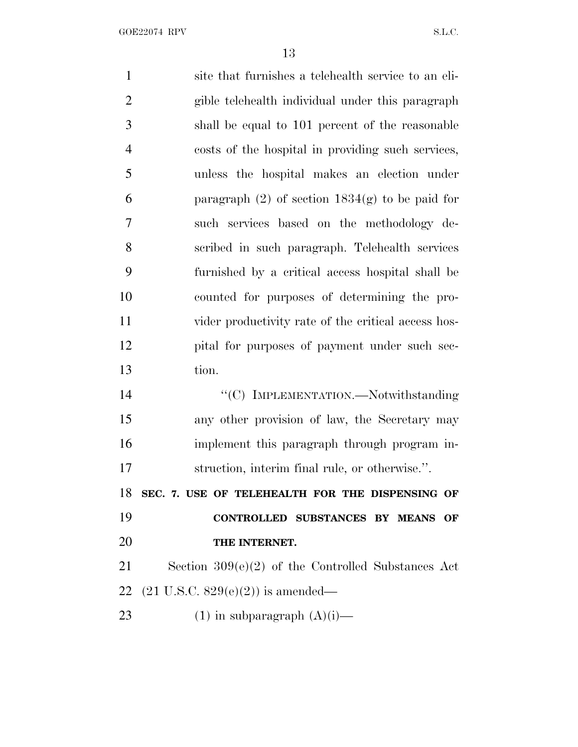| $\mathbf{1}$   | site that furnishes a telehealth service to an eli-  |
|----------------|------------------------------------------------------|
| $\overline{2}$ | gible telehealth individual under this paragraph     |
| 3              | shall be equal to 101 percent of the reasonable      |
| $\overline{4}$ | costs of the hospital in providing such services,    |
| 5              | unless the hospital makes an election under          |
| 6              | paragraph $(2)$ of section $1834(g)$ to be paid for  |
| 7              | such services based on the methodology de-           |
| $8\,$          | scribed in such paragraph. Telehealth services       |
| 9              | furnished by a critical access hospital shall be     |
| 10             | counted for purposes of determining the pro-         |
| 11             | vider productivity rate of the critical access hos-  |
| 12             | pital for purposes of payment under such sec-        |
| 13             | tion.                                                |
| 14             | "(C) IMPLEMENTATION.—Notwithstanding                 |
| 15             | any other provision of law, the Secretary may        |
| 16             | implement this paragraph through program in-         |
| 17             | struction, interim final rule, or otherwise.".       |
| 18             | SEC. 7. USE OF TELEHEALTH FOR THE DISPENSING OF      |
| 19             | CONTROLLED SUBSTANCES BY MEANS<br>OF                 |
| 20             | THE INTERNET.                                        |
| 21             | Section $309(e)(2)$ of the Controlled Substances Act |
| 22             | $(21 \text{ U.S.C. } 829(e)(2))$ is amended—         |
| 23             | $(1)$ in subparagraph $(A)(i)$ —                     |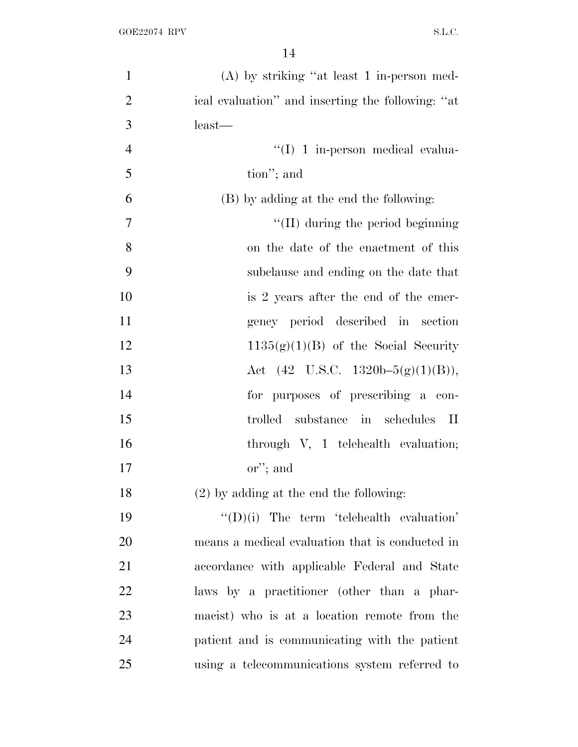| $\mathbf{1}$   | $(A)$ by striking "at least 1 in-person med-      |
|----------------|---------------------------------------------------|
| $\overline{2}$ | ical evaluation" and inserting the following: "at |
| 3              | $least$ —                                         |
| $\overline{4}$ | $\lq\lq$ (I) 1 in-person medical evalua-          |
| 5              | tion"; and                                        |
| 6              | (B) by adding at the end the following:           |
| 7              | $\lq\lq$ (II) during the period beginning         |
| 8              | on the date of the enactment of this              |
| 9              | subclause and ending on the date that             |
| 10             | is 2 years after the end of the emer-             |
| 11             | gency period described in section                 |
| 12             | $1135(g)(1)(B)$ of the Social Security            |
| 13             | Act $(42 \text{ U.S.C. } 1320b-5(g)(1)(B)),$      |
| 14             | for purposes of prescribing a con-                |
| 15             | trolled substance in schedules II                 |
| 16             | through V, 1 telehealth evaluation;               |
| 17             | or"; and                                          |
| 18             | $(2)$ by adding at the end the following:         |
| 19             | $\lq\lq$ (D)(i) The term 'telehealth evaluation'  |
| 20             | means a medical evaluation that is conducted in   |
| 21             | accordance with applicable Federal and State      |
| 22             | laws by a practitioner (other than a phar-        |
| 23             | macist) who is at a location remote from the      |
| 24             | patient and is communicating with the patient     |
| 25             | using a telecommunications system referred to     |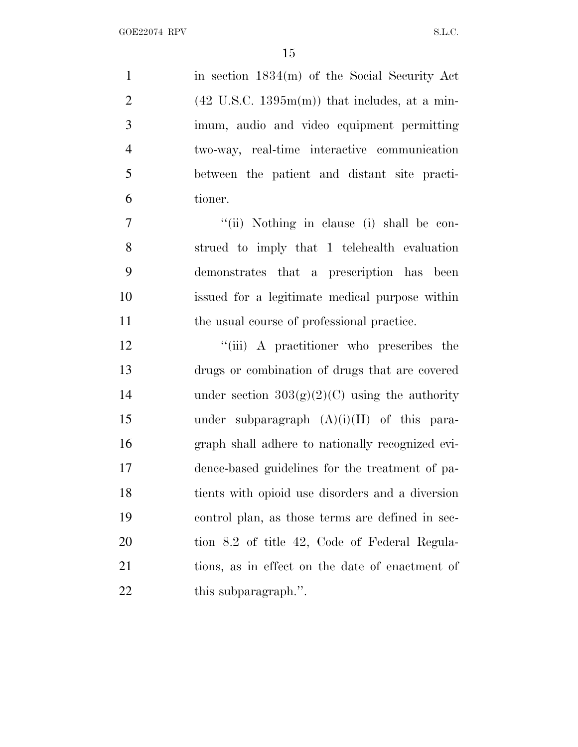1 in section 1834(m) of the Social Security Act 2 (42 U.S.C. 1395 $m(m)$ ) that includes, at a min- imum, audio and video equipment permitting two-way, real-time interactive communication between the patient and distant site practi- tioner. 7 ''(ii) Nothing in clause (i) shall be con- strued to imply that 1 telehealth evaluation demonstrates that a prescription has been issued for a legitimate medical purpose within 11 the usual course of professional practice. 12 "(iii) A practitioner who prescribes the drugs or combination of drugs that are covered 14 under section  $303(g)(2)(C)$  using the authority under subparagraph (A)(i)(II) of this para- graph shall adhere to nationally recognized evi- dence-based guidelines for the treatment of pa- tients with opioid use disorders and a diversion control plan, as those terms are defined in sec-

tion 8.2 of title 42, Code of Federal Regula-

tions, as in effect on the date of enactment of

22 this subparagraph.".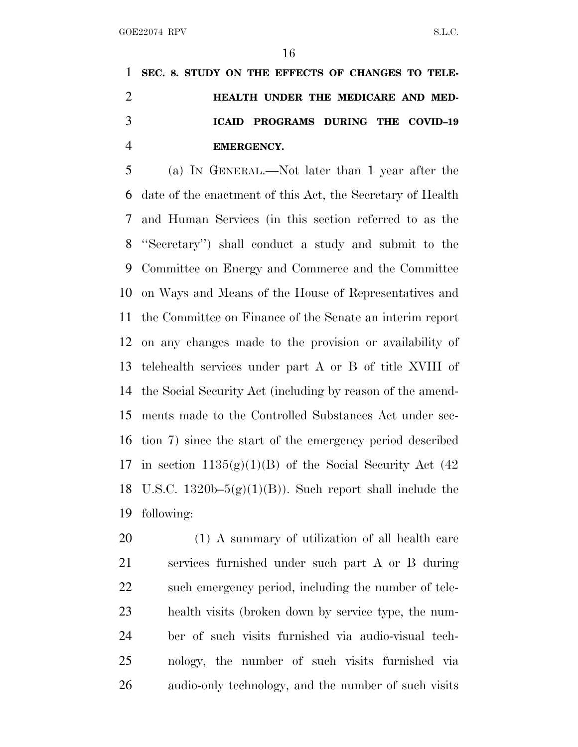**SEC. 8. STUDY ON THE EFFECTS OF CHANGES TO TELE- HEALTH UNDER THE MEDICARE AND MED- ICAID PROGRAMS DURING THE COVID–19 EMERGENCY.**

 (a) I<sup>N</sup> GENERAL.—Not later than 1 year after the date of the enactment of this Act, the Secretary of Health and Human Services (in this section referred to as the ''Secretary'') shall conduct a study and submit to the Committee on Energy and Commerce and the Committee on Ways and Means of the House of Representatives and the Committee on Finance of the Senate an interim report on any changes made to the provision or availability of telehealth services under part A or B of title XVIII of the Social Security Act (including by reason of the amend- ments made to the Controlled Substances Act under sec- tion 7) since the start of the emergency period described 17 in section  $1135(g)(1)(B)$  of the Social Security Act (42) 18 U.S.C. 1320b– $5(g)(1)(B)$ ). Such report shall include the following:

 (1) A summary of utilization of all health care services furnished under such part A or B during such emergency period, including the number of tele- health visits (broken down by service type, the num- ber of such visits furnished via audio-visual tech- nology, the number of such visits furnished via audio-only technology, and the number of such visits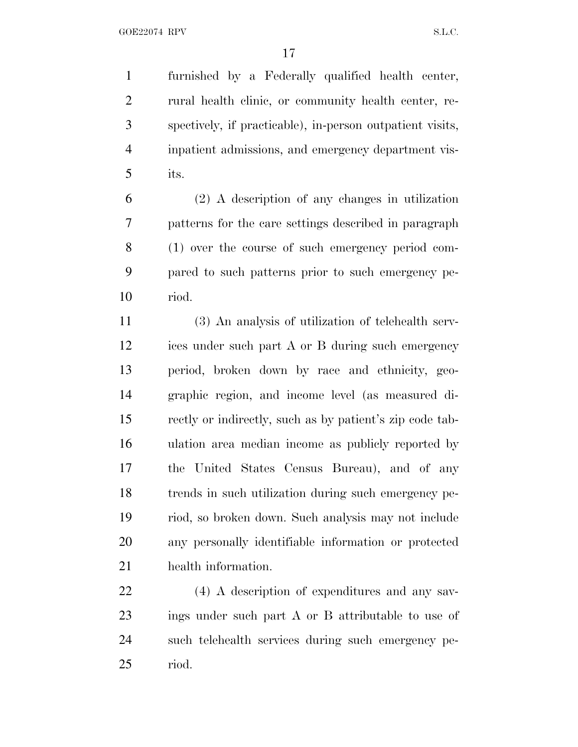furnished by a Federally qualified health center, rural health clinic, or community health center, re- spectively, if practicable), in-person outpatient visits, inpatient admissions, and emergency department vis-its.

 (2) A description of any changes in utilization patterns for the care settings described in paragraph (1) over the course of such emergency period com- pared to such patterns prior to such emergency pe-riod.

 (3) An analysis of utilization of telehealth serv- ices under such part A or B during such emergency period, broken down by race and ethnicity, geo- graphic region, and income level (as measured di- rectly or indirectly, such as by patient's zip code tab- ulation area median income as publicly reported by the United States Census Bureau), and of any trends in such utilization during such emergency pe- riod, so broken down. Such analysis may not include any personally identifiable information or protected health information.

 (4) A description of expenditures and any sav- ings under such part A or B attributable to use of such telehealth services during such emergency pe-riod.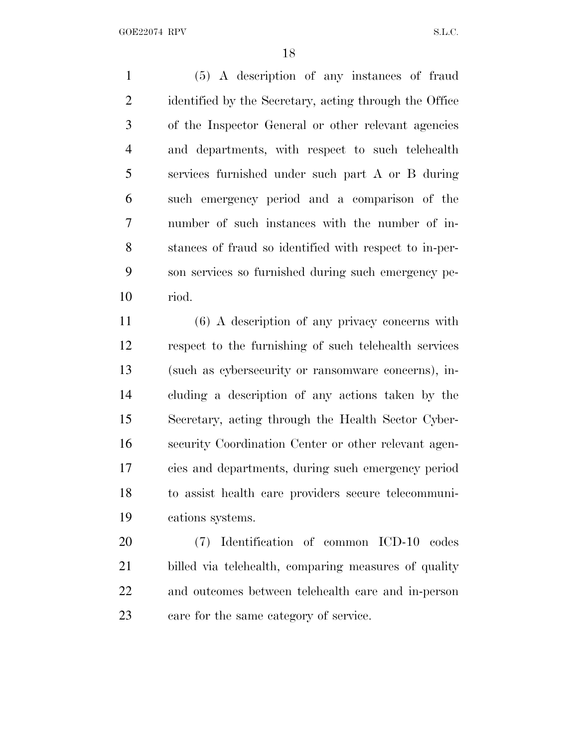(5) A description of any instances of fraud 2 identified by the Secretary, acting through the Office of the Inspector General or other relevant agencies and departments, with respect to such telehealth services furnished under such part A or B during such emergency period and a comparison of the number of such instances with the number of in- stances of fraud so identified with respect to in-per- son services so furnished during such emergency pe-riod.

 (6) A description of any privacy concerns with respect to the furnishing of such telehealth services (such as cybersecurity or ransomware concerns), in- cluding a description of any actions taken by the Secretary, acting through the Health Sector Cyber- security Coordination Center or other relevant agen- cies and departments, during such emergency period to assist health care providers secure telecommuni-cations systems.

 (7) Identification of common ICD-10 codes billed via telehealth, comparing measures of quality and outcomes between telehealth care and in-person care for the same category of service.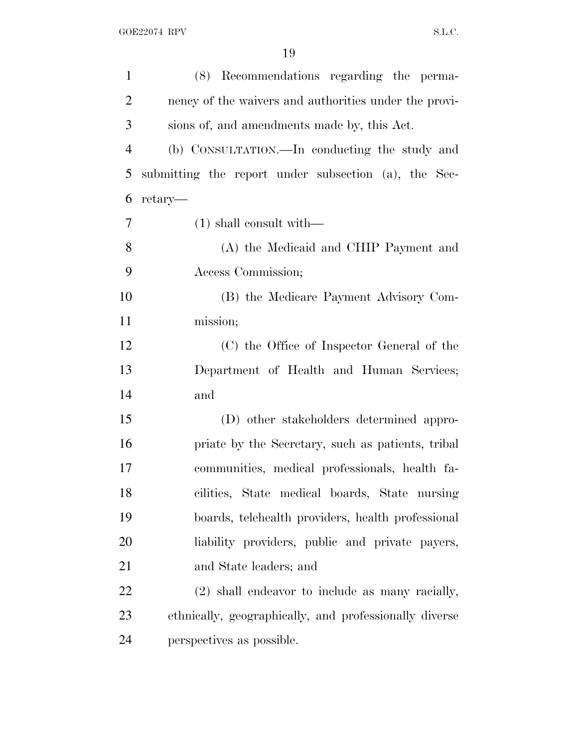| $\mathbf{1}$   | (8) Recommendations regarding the perma-               |
|----------------|--------------------------------------------------------|
| $\overline{2}$ | nency of the waivers and authorities under the provi-  |
| 3              | sions of, and amendments made by, this Act.            |
| $\overline{4}$ | (b) CONSULTATION.—In conducting the study and          |
| 5              | submitting the report under subsection (a), the Sec-   |
| 6              | retary—                                                |
| 7              | $(1)$ shall consult with—                              |
| 8              | (A) the Medicaid and CHIP Payment and                  |
| 9              | Access Commission;                                     |
| 10             | (B) the Medicare Payment Advisory Com-                 |
| 11             | mission;                                               |
| 12             | (C) the Office of Inspector General of the             |
| 13             | Department of Health and Human Services;               |
| 14             | and                                                    |
| 15             | (D) other stakeholders determined appro-               |
| 16             | priate by the Secretary, such as patients, tribal      |
| 17             | communities, medical professionals, health fa-         |
| 18             | cilities, State medical boards, State nursing          |
| 19             | boards, telehealth providers, health professional      |
| 20             | liability providers, public and private payers,        |
| 21             | and State leaders; and                                 |
| 22             | (2) shall endeavor to include as many racially,        |
| 23             | ethnically, geographically, and professionally diverse |
| 24             | perspectives as possible.                              |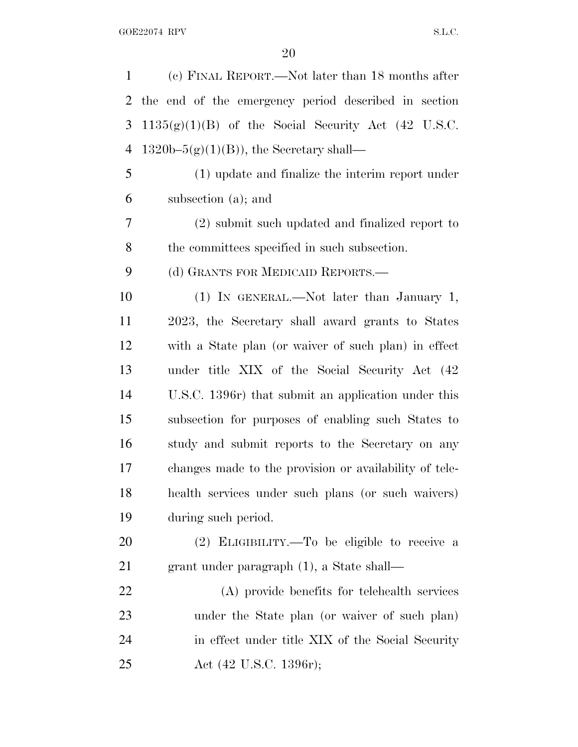| $\mathbf{1}$ | (c) FINAL REPORT.—Not later than 18 months after       |
|--------------|--------------------------------------------------------|
| 2            | the end of the emergency period described in section   |
| 3            | $1135(g)(1)(B)$ of the Social Security Act (42 U.S.C.  |
| 4            | $1320b-5(g)(1)(B)$ , the Secretary shall—              |
| 5            | (1) update and finalize the interim report under       |
| 6            | subsection (a); and                                    |
| 7            | (2) submit such updated and finalized report to        |
| 8            | the committees specified in such subsection.           |
| 9            | (d) GRANTS FOR MEDICAID REPORTS.—                      |
| 10           | (1) IN GENERAL.—Not later than January 1,              |
| 11           | 2023, the Secretary shall award grants to States       |
| 12           | with a State plan (or waiver of such plan) in effect   |
| 13           | under title XIX of the Social Security Act (42)        |
| 14           | U.S.C. 1396r) that submit an application under this    |
| 15           | subsection for purposes of enabling such States to     |
| 16           | study and submit reports to the Secretary on any       |
| 17           | changes made to the provision or availability of tele- |
| 18           | health services under such plans (or such waivers)     |
| 19           | during such period.                                    |
| 20           | (2) ELIGIBILITY.—To be eligible to receive a           |
| 21           | grant under paragraph $(1)$ , a State shall—           |
| 22           | (A) provide benefits for telehealth services           |
| 23           | under the State plan (or waiver of such plan)          |
| 24           | in effect under title XIX of the Social Security       |
| 25           | Act (42 U.S.C. 1396r);                                 |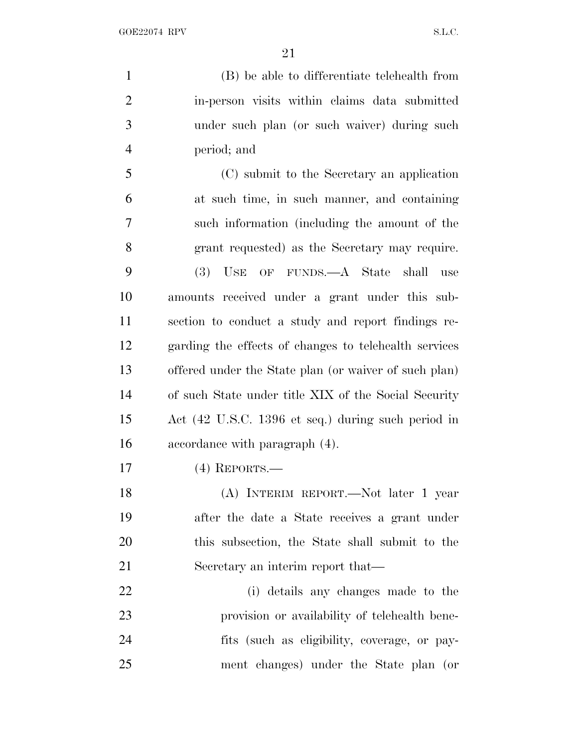(B) be able to differentiate telehealth from in-person visits within claims data submitted under such plan (or such waiver) during such period; and

 (C) submit to the Secretary an application at such time, in such manner, and containing such information (including the amount of the grant requested) as the Secretary may require. (3) USE OF FUNDS.—A State shall use amounts received under a grant under this sub- section to conduct a study and report findings re- garding the effects of changes to telehealth services offered under the State plan (or waiver of such plan) of such State under title XIX of the Social Security Act (42 U.S.C. 1396 et seq.) during such period in accordance with paragraph (4).

(4) REPORTS.—

 (A) INTERIM REPORT.—Not later 1 year after the date a State receives a grant under this subsection, the State shall submit to the 21 Secretary an interim report that—

 (i) details any changes made to the provision or availability of telehealth bene- fits (such as eligibility, coverage, or pay-ment changes) under the State plan (or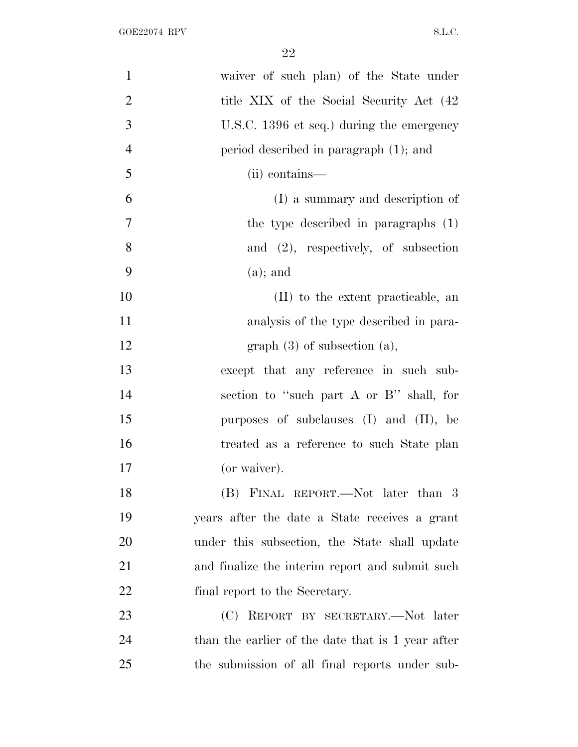| $\mathbf{1}$   | waiver of such plan) of the State under           |
|----------------|---------------------------------------------------|
| $\mathbf{2}$   | title XIX of the Social Security Act (42          |
| 3              | U.S.C. 1396 et seq.) during the emergency         |
| $\overline{4}$ | period described in paragraph (1); and            |
| 5              | (ii) contains—                                    |
| 6              | (I) a summary and description of                  |
| $\overline{7}$ | the type described in paragraphs (1)              |
| 8              | and $(2)$ , respectively, of subsection           |
| 9              | $(a)$ ; and                                       |
| 10             | (II) to the extent practicable, an                |
| 11             | analysis of the type described in para-           |
| 12             | graph $(3)$ of subsection $(a)$ ,                 |
| 13             | except that any reference in such sub-            |
| 14             | section to "such part A or B" shall, for          |
| 15             | purposes of subclauses $(I)$ and $(II)$ , be      |
| 16             | treated as a reference to such State plan         |
| 17             | (or waiver).                                      |
| 18             | (B) FINAL REPORT.—Not later than 3                |
| 19             | years after the date a State receives a grant     |
| 20             | under this subsection, the State shall update     |
| 21             | and finalize the interim report and submit such   |
| 22             | final report to the Secretary.                    |
| 23             | (C) REPORT BY SECRETARY.—Not later                |
| 24             | than the earlier of the date that is 1 year after |
| 25             | the submission of all final reports under sub-    |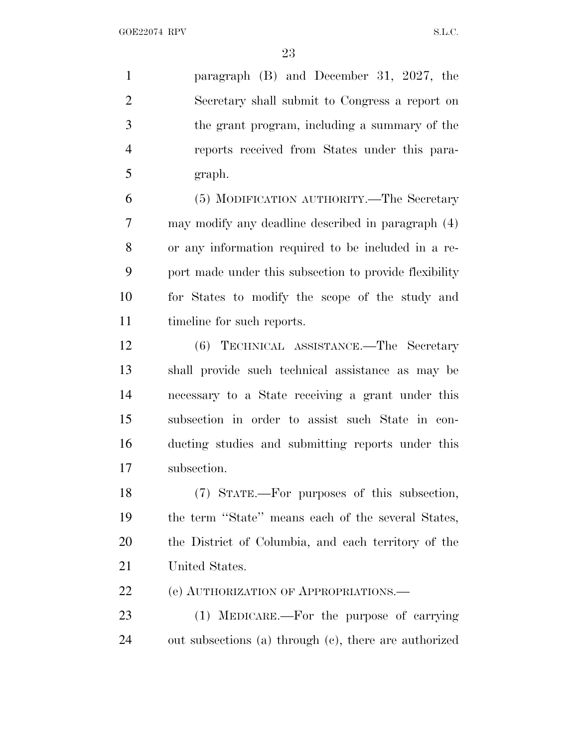paragraph (B) and December 31, 2027, the Secretary shall submit to Congress a report on the grant program, including a summary of the reports received from States under this para-graph.

 (5) MODIFICATION AUTHORITY.—The Secretary may modify any deadline described in paragraph (4) or any information required to be included in a re- port made under this subsection to provide flexibility for States to modify the scope of the study and timeline for such reports.

 (6) TECHNICAL ASSISTANCE.—The Secretary shall provide such technical assistance as may be necessary to a State receiving a grant under this subsection in order to assist such State in con- ducting studies and submitting reports under this subsection.

 (7) STATE.—For purposes of this subsection, the term ''State'' means each of the several States, the District of Columbia, and each territory of the United States.

22 (e) AUTHORIZATION OF APPROPRIATIONS.

 (1) MEDICARE.—For the purpose of carrying out subsections (a) through (c), there are authorized